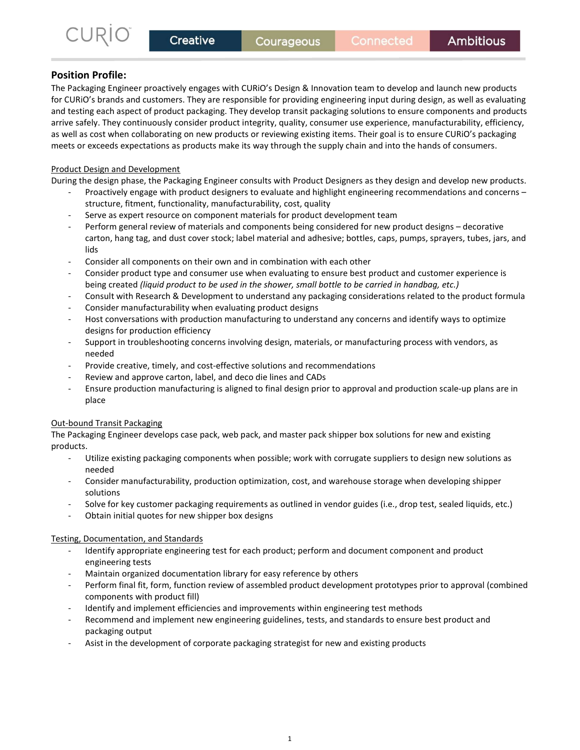# Position Profile:

The Packaging Engineer proactively engages with CURiO's Design & Innovation team to develop and launch new products for CURiO's brands and customers. They are responsible for providing engineering input during design, as well as evaluating and testing each aspect of product packaging. They develop transit packaging solutions to ensure components and products arrive safely. They continuously consider product integrity, quality, consumer use experience, manufacturability, efficiency, as well as cost when collaborating on new products or reviewing existing items. Their goal is to ensure CURIO's packaging meets or exceeds expectations as products make its way through the supply chain and into the hands of consumers.

# Product Design and Development

During the design phase, the Packaging Engineer consults with Product Designers as they design and develop new products.

- Proactively engage with product designers to evaluate and highlight engineering recommendations and concerns structure, fitment, functionality, manufacturability, cost, quality
- Serve as expert resource on component materials for product development team
- Perform general review of materials and components being considered for new product designs decorative carton, hang tag, and dust cover stock; label material and adhesive; bottles, caps, pumps, sprayers, tubes, jars, and lids
- Consider all components on their own and in combination with each other
- Consider product type and consumer use when evaluating to ensure best product and customer experience is being created (liquid product to be used in the shower, small bottle to be carried in handbag, etc.)
- Consult with Research & Development to understand any packaging considerations related to the product formula
- Consider manufacturability when evaluating product designs
- Host conversations with production manufacturing to understand any concerns and identify ways to optimize designs for production efficiency
- Support in troubleshooting concerns involving design, materials, or manufacturing process with vendors, as needed
- Provide creative, timely, and cost-effective solutions and recommendations
- Review and approve carton, label, and deco die lines and CADs
- Ensure production manufacturing is aligned to final design prior to approval and production scale-up plans are in place

# Out-bound Transit Packaging

The Packaging Engineer develops case pack, web pack, and master pack shipper box solutions for new and existing products.

- Utilize existing packaging components when possible; work with corrugate suppliers to design new solutions as needed
- Consider manufacturability, production optimization, cost, and warehouse storage when developing shipper solutions
- Solve for key customer packaging requirements as outlined in vendor guides (i.e., drop test, sealed liquids, etc.)
- Obtain initial quotes for new shipper box designs

# Testing, Documentation, and Standards

- Identify appropriate engineering test for each product; perform and document component and product engineering tests
- Maintain organized documentation library for easy reference by others
- Perform final fit, form, function review of assembled product development prototypes prior to approval (combined components with product fill)
- Identify and implement efficiencies and improvements within engineering test methods
- Recommend and implement new engineering guidelines, tests, and standards to ensure best product and packaging output
- Asist in the development of corporate packaging strategist for new and existing products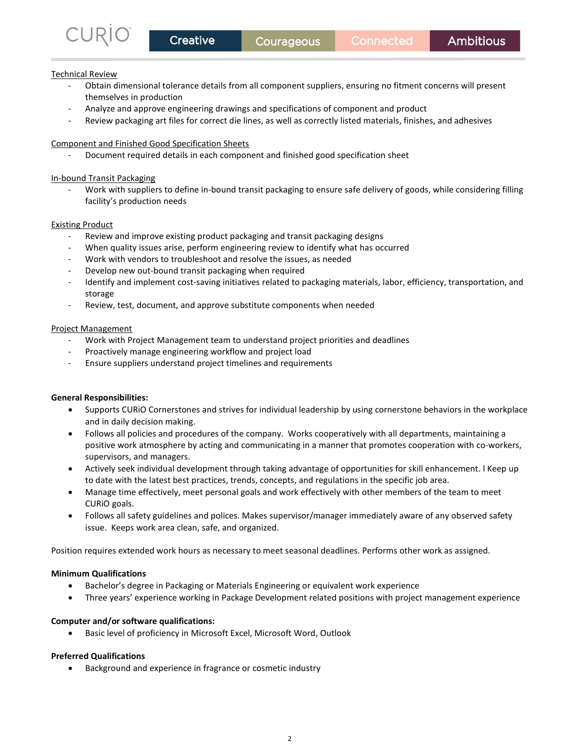### Technical Review

CURI

- Obtain dimensional tolerance details from all component suppliers, ensuring no fitment concerns will present themselves in production
- Analyze and approve engineering drawings and specifications of component and product
- Review packaging art files for correct die lines, as well as correctly listed materials, finishes, and adhesives

# Component and Finished Good Specification Sheets

Document required details in each component and finished good specification sheet

### In-bound Transit Packaging

- Work with suppliers to define in-bound transit packaging to ensure safe delivery of goods, while considering filling facility's production needs

### Existing Product

- Review and improve existing product packaging and transit packaging designs
- When quality issues arise, perform engineering review to identify what has occurred
- Work with vendors to troubleshoot and resolve the issues, as needed
- Develop new out-bound transit packaging when required
- Identify and implement cost-saving initiatives related to packaging materials, labor, efficiency, transportation, and storage
- Review, test, document, and approve substitute components when needed

#### Project Management

- Work with Project Management team to understand project priorities and deadlines
- Proactively manage engineering workflow and project load
- Ensure suppliers understand project timelines and requirements

#### General Responsibilities:

- Supports CURiO Cornerstones and strives for individual leadership by using cornerstone behaviors in the workplace and in daily decision making.
- Follows all policies and procedures of the company. Works cooperatively with all departments, maintaining a positive work atmosphere by acting and communicating in a manner that promotes cooperation with co-workers, supervisors, and managers.
- Actively seek individual development through taking advantage of opportunities for skill enhancement. l Keep up to date with the latest best practices, trends, concepts, and regulations in the specific job area.
- Manage time effectively, meet personal goals and work effectively with other members of the team to meet CURiO goals.
- Follows all safety guidelines and polices. Makes supervisor/manager immediately aware of any observed safety issue. Keeps work area clean, safe, and organized.

Position requires extended work hours as necessary to meet seasonal deadlines. Performs other work as assigned.

#### Minimum Qualifications

- Bachelor's degree in Packaging or Materials Engineering or equivalent work experience
- Three years' experience working in Package Development related positions with project management experience

# Computer and/or software qualifications:

Basic level of proficiency in Microsoft Excel, Microsoft Word, Outlook

#### Preferred Qualifications

Background and experience in fragrance or cosmetic industry